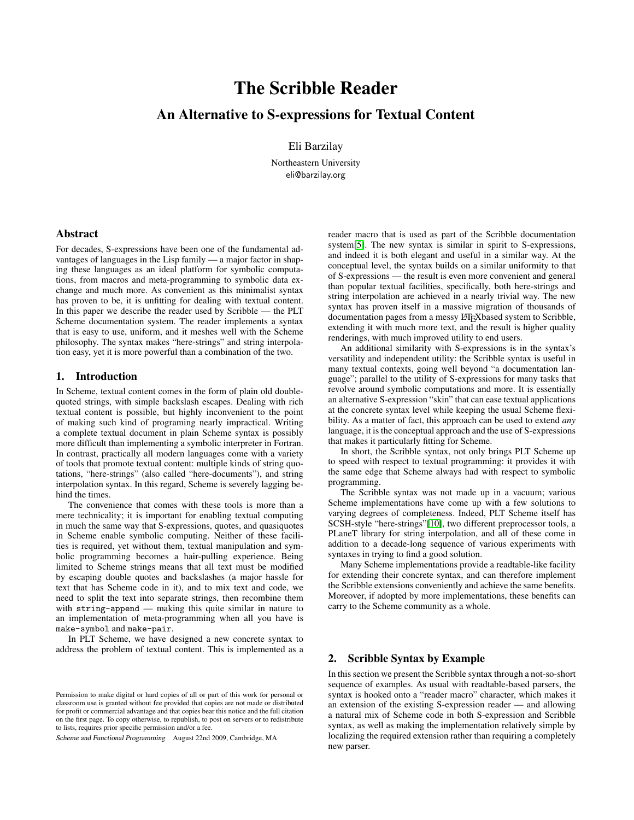# The Scribble Reader

## An Alternative to S-expressions for Textual Content

Eli Barzilay

Northeastern University eli@barzilay.org

## Abstract

For decades, S-expressions have been one of the fundamental advantages of languages in the Lisp family — a major factor in shaping these languages as an ideal platform for symbolic computations, from macros and meta-programming to symbolic data exchange and much more. As convenient as this minimalist syntax has proven to be, it is unfitting for dealing with textual content. In this paper we describe the reader used by Scribble — the PLT Scheme documentation system. The reader implements a syntax that is easy to use, uniform, and it meshes well with the Scheme philosophy. The syntax makes "here-strings" and string interpolation easy, yet it is more powerful than a combination of the two.

## 1. Introduction

In Scheme, textual content comes in the form of plain old doublequoted strings, with simple backslash escapes. Dealing with rich textual content is possible, but highly inconvenient to the point of making such kind of programing nearly impractical. Writing a complete textual document in plain Scheme syntax is possibly more difficult than implementing a symbolic interpreter in Fortran. In contrast, practically all modern languages come with a variety of tools that promote textual content: multiple kinds of string quotations, "here-strings" (also called "here-documents"), and string interpolation syntax. In this regard, Scheme is severely lagging behind the times.

The convenience that comes with these tools is more than a mere technicality; it is important for enabling textual computing in much the same way that S-expressions, quotes, and quasiquotes in Scheme enable symbolic computing. Neither of these facilities is required, yet without them, textual manipulation and symbolic programming becomes a hair-pulling experience. Being limited to Scheme strings means that all text must be modified by escaping double quotes and backslashes (a major hassle for text that has Scheme code in it), and to mix text and code, we need to split the text into separate strings, then recombine them with string-append — making this quite similar in nature to an implementation of meta-programming when all you have is make-symbol and make-pair.

In PLT Scheme, we have designed a new concrete syntax to address the problem of textual content. This is implemented as a

Scheme and Functional Programming August 22nd 2009, Cambridge, MA

reader macro that is used as part of the Scribble documentation system[\[5\]](#page-8-0). The new syntax is similar in spirit to S-expressions, and indeed it is both elegant and useful in a similar way. At the conceptual level, the syntax builds on a similar uniformity to that of S-expressions — the result is even more convenient and general than popular textual facilities, specifically, both here-strings and string interpolation are achieved in a nearly trivial way. The new syntax has proven itself in a massive migration of thousands of documentation pages from a messy LATEXbased system to Scribble, extending it with much more text, and the result is higher quality renderings, with much improved utility to end users.

An additional similarity with S-expressions is in the syntax's versatility and independent utility: the Scribble syntax is useful in many textual contexts, going well beyond "a documentation language"; parallel to the utility of S-expressions for many tasks that revolve around symbolic computations and more. It is essentially an alternative S-expression "skin" that can ease textual applications at the concrete syntax level while keeping the usual Scheme flexibility. As a matter of fact, this approach can be used to extend *any* language, it is the conceptual approach and the use of S-expressions that makes it particularly fitting for Scheme.

In short, the Scribble syntax, not only brings PLT Scheme up to speed with respect to textual programming: it provides it with the same edge that Scheme always had with respect to symbolic programming.

The Scribble syntax was not made up in a vacuum; various Scheme implementations have come up with a few solutions to varying degrees of completeness. Indeed, PLT Scheme itself has SCSH-style "here-strings"[\[10\]](#page-8-1), two different preprocessor tools, a PLaneT library for string interpolation, and all of these come in addition to a decade-long sequence of various experiments with syntaxes in trying to find a good solution.

Many Scheme implementations provide a readtable-like facility for extending their concrete syntax, and can therefore implement the Scribble extensions conveniently and achieve the same benefits. Moreover, if adopted by more implementations, these benefits can carry to the Scheme community as a whole.

#### 2. Scribble Syntax by Example

In this section we present the Scribble syntax through a not-so-short sequence of examples. As usual with readtable-based parsers, the syntax is hooked onto a "reader macro" character, which makes it an extension of the existing S-expression reader — and allowing a natural mix of Scheme code in both S-expression and Scribble syntax, as well as making the implementation relatively simple by localizing the required extension rather than requiring a completely new parser.

Permission to make digital or hard copies of all or part of this work for personal or classroom use is granted without fee provided that copies are not made or distributed for profit or commercial advantage and that copies bear this notice and the full citation on the first page. To copy otherwise, to republish, to post on servers or to redistribute to lists, requires prior specific permission and/or a fee.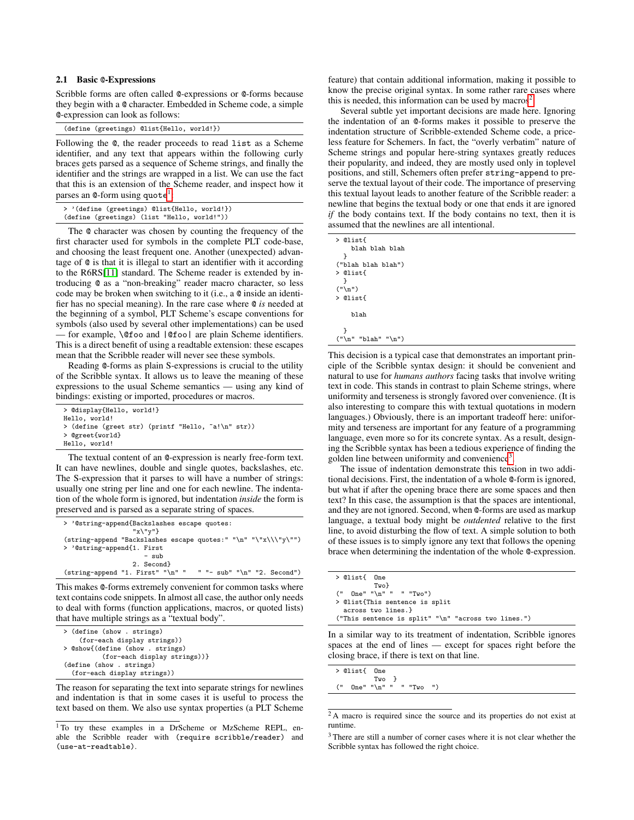#### 2.1 Basic @-Expressions

Scribble forms are often called @-expressions or @-forms because they begin with a @ character. Embedded in Scheme code, a simple @-expression can look as follows:

|  |  | (define (greetings) @list{Hello, world!}) |  |
|--|--|-------------------------------------------|--|
|--|--|-------------------------------------------|--|

Following the @, the reader proceeds to read list as a Scheme identifier, and any text that appears within the following curly braces gets parsed as a sequence of Scheme strings, and finally the identifier and the strings are wrapped in a list. We can use the fact that this is an extension of the Scheme reader, and inspect how it parses an @-form using  $\texttt{quote}^1\text{:}$  $\texttt{quote}^1\text{:}$  $\texttt{quote}^1\text{:}$ 

| > '(define (greetings) @list{Hello, world!}) |  |  |
|----------------------------------------------|--|--|
| (define (greetings) (list "Hello, world!"))  |  |  |

The @ character was chosen by counting the frequency of the first character used for symbols in the complete PLT code-base, and choosing the least frequent one. Another (unexpected) advantage of @ is that it is illegal to start an identifier with it according to the R6RS[\[11\]](#page-8-2) standard. The Scheme reader is extended by introducing @ as a "non-breaking" reader macro character, so less code may be broken when switching to it (i.e., a @ inside an identifier has no special meaning). In the rare case where @ *is* needed at the beginning of a symbol, PLT Scheme's escape conventions for symbols (also used by several other implementations) can be used — for example, \@foo and |@foo| are plain Scheme identifiers. This is a direct benefit of using a readtable extension: these escapes mean that the Scribble reader will never see these symbols.

Reading @-forms as plain S-expressions is crucial to the utility of the Scribble syntax. It allows us to leave the meaning of these expressions to the usual Scheme semantics — using any kind of bindings: existing or imported, procedures or macros.

```
> @display{Hello, world!}
```

```
Hello, world!
```
> (define (greet str) (printf "Hello, ~a!\n" str))

> @greet{world} Hello, world!

The textual content of an @-expression is nearly free-form text. It can have newlines, double and single quotes, backslashes, etc. The S-expression that it parses to will have a number of strings: usually one string per line and one for each newline. The indentation of the whole form is ignored, but indentation *inside* the form is preserved and is parsed as a separate string of spaces.

| > '@string-append{Backslashes escape quotes:                                                    |
|-------------------------------------------------------------------------------------------------|
| $''x\$ $''v''$                                                                                  |
| $(\text{string-append}$ "Backslashes escape quotes:" "\n" "\"x\\\"y\"")                         |
| > '@string-append{1. First                                                                      |
| $-$ sub                                                                                         |
| 2. Second                                                                                       |
| " "- $sub"$ " $\n$ " "2. Second")<br>$(\text{string-append}$ "1. First" " $\n\frac{\nu}{\nu}$ " |

This makes @-forms extremely convenient for common tasks where text contains code snippets. In almost all case, the author only needs to deal with forms (function applications, macros, or quoted lists) that have multiple strings as a "textual body".

| > (define (show . strings)       |
|----------------------------------|
| (for-each display strings))      |
| > @show{(define (show . strings) |
| (for-each display strings))}     |
| (define (show . strings)         |
| (for-each display strings))      |

The reason for separating the text into separate strings for newlines and indentation is that in some cases it is useful to process the text based on them. We also use syntax properties (a PLT Scheme

feature) that contain additional information, making it possible to know the precise original syntax. In some rather rare cases where this is needed, this information can be used by macros<sup>[2](#page-1-1)</sup>.

Several subtle yet important decisions are made here. Ignoring the indentation of an @-forms makes it possible to preserve the indentation structure of Scribble-extended Scheme code, a priceless feature for Schemers. In fact, the "overly verbatim" nature of Scheme strings and popular here-string syntaxes greatly reduces their popularity, and indeed, they are mostly used only in toplevel positions, and still, Schemers often prefer string-append to preserve the textual layout of their code. The importance of preserving this textual layout leads to another feature of the Scribble reader: a newline that begins the textual body or one that ends it are ignored *if* the body contains text. If the body contains no text, then it is assumed that the newlines are all intentional.

| > @list{<br>blah blah blah |
|----------------------------|
| ŀ                          |
| ("blah blah blah")         |
| > @list{                   |
|                            |
| ("n")                      |
| > @list{                   |
|                            |
| blah                       |
|                            |
| ŀ                          |
| ("n" "blank" "n")          |

This decision is a typical case that demonstrates an important principle of the Scribble syntax design: it should be convenient and natural to use for *humans authors* facing tasks that involve writing text in code. This stands in contrast to plain Scheme strings, where uniformity and terseness is strongly favored over convenience. (It is also interesting to compare this with textual quotations in modern languages.) Obviously, there is an important tradeoff here: uniformity and terseness are important for any feature of a programming language, even more so for its concrete syntax. As a result, designing the Scribble syntax has been a tedious experience of finding the golden line between uniformity and convenience<sup>[3](#page-1-2)</sup>.

The issue of indentation demonstrate this tension in two additional decisions. First, the indentation of a whole @-form is ignored, but what if after the opening brace there are some spaces and then text? In this case, the assumption is that the spaces are intentional, and they are not ignored. Second, when @-forms are used as markup language, a textual body might be *outdented* relative to the first line, to avoid disturbing the flow of text. A simple solution to both of these issues is to simply ignore any text that follows the opening brace when determining the indentation of the whole @-expression.

| > @list{ One                                                 |
|--------------------------------------------------------------|
| Twol                                                         |
| $("$ One" " $\ln"$ " "Two")                                  |
| > @list{This sentence is split                               |
| across two lines.}                                           |
| ("This sentence is split" " $\n\cdot$ " "across two lines.") |
|                                                              |

In a similar way to its treatment of indentation, Scribble ignores spaces at the end of lines — except for spaces right before the closing brace, if there is text on that line.

| > @list{ One                        |       |  |  |
|-------------------------------------|-------|--|--|
|                                     | Two } |  |  |
| $($ " One" " $\mathbf{n}$ " ""Two") |       |  |  |

<span id="page-1-1"></span><sup>2</sup>A macro is required since the source and its properties do not exist at runtime.

<span id="page-1-2"></span><sup>3</sup> There are still a number of corner cases where it is not clear whether the Scribble syntax has followed the right choice.

<span id="page-1-0"></span><sup>&</sup>lt;sup>1</sup>To try these examples in a DrScheme or MzScheme REPL, enable the Scribble reader with (require scribble/reader) and (use-at-readtable).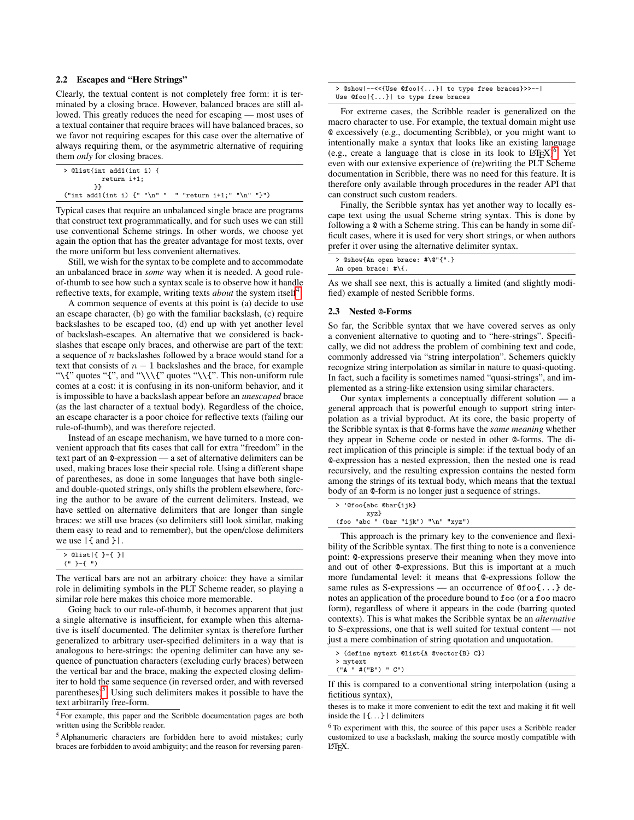## 2.2 Escapes and "Here Strings"

Clearly, the textual content is not completely free form: it is terminated by a closing brace. However, balanced braces are still allowed. This greatly reduces the need for escaping — most uses of a textual container that require braces will have balanced braces, so we favor not requiring escapes for this case over the alternative of always requiring them, or the asymmetric alternative of requiring them *only* for closing braces.

```
> @list{int add1(int i) {
          return i+1;
        }}
("int add1(int i) { " " \n n" " " return i+1; " " \n n" "}")
```
Typical cases that require an unbalanced single brace are programs that construct text programmatically, and for such uses we can still use conventional Scheme strings. In other words, we choose yet again the option that has the greater advantage for most texts, over the more uniform but less convenient alternatives.

Still, we wish for the syntax to be complete and to accommodate an unbalanced brace in *some* way when it is needed. A good ruleof-thumb to see how such a syntax scale is to observe how it handle reflective texts, for example, writing texts *about* the system itself<sup>[4](#page-2-0)</sup>.

A common sequence of events at this point is (a) decide to use an escape character, (b) go with the familiar backslash, (c) require backslashes to be escaped too, (d) end up with yet another level of backslash-escapes. An alternative that we considered is backslashes that escape only braces, and otherwise are part of the text: a sequence of n backslashes followed by a brace would stand for a text that consists of  $n - 1$  backslashes and the brace, for example "\{" quotes "{", and "\\\{" quotes "\\{". This non-uniform rule comes at a cost: it is confusing in its non-uniform behavior, and it is impossible to have a backslash appear before an *unescaped* brace (as the last character of a textual body). Regardless of the choice, an escape character is a poor choice for reflective texts (failing our rule-of-thumb), and was therefore rejected.

Instead of an escape mechanism, we have turned to a more convenient approach that fits cases that call for extra "freedom" in the text part of an @-expression — a set of alternative delimiters can be used, making braces lose their special role. Using a different shape of parentheses, as done in some languages that have both singleand double-quoted strings, only shifts the problem elsewhere, forcing the author to be aware of the current delimiters. Instead, we have settled on alternative delimiters that are longer than single braces: we still use braces (so delimiters still look similar, making them easy to read and to remember), but the open/close delimiters we use |{ and }|.

| $>$ @list[{ }-{ }] |  |
|--------------------|--|
| ユーモーリン             |  |

The vertical bars are not an arbitrary choice: they have a similar role in delimiting symbols in the PLT Scheme reader, so playing a similar role here makes this choice more memorable.

Going back to our rule-of-thumb, it becomes apparent that just a single alternative is insufficient, for example when this alternative is itself documented. The delimiter syntax is therefore further generalized to arbitrary user-specified delimiters in a way that is analogous to here-strings: the opening delimiter can have any sequence of punctuation characters (excluding curly braces) between the vertical bar and the brace, making the expected closing delimiter to hold the same sequence (in reversed order, and with reversed parentheses)<sup>[5](#page-2-1)</sup>. Using such delimiters makes it possible to have the text arbitrarily free-form.

> @show|--<<{Use @foo|{...}| to type free braces}>>--| Use @foo|{...}| to type free braces

For extreme cases, the Scribble reader is generalized on the macro character to use. For example, the textual domain might use @ excessively (e.g., documenting Scribble), or you might want to intentionally make a syntax that looks like an existing language (e.g., create a language that is close in its look to  $L^{\infty}E^{N}$ )<sup>[6](#page-2-2)</sup>. Yet even with our extensive experience of (re)writing the PLT Scheme documentation in Scribble, there was no need for this feature. It is therefore only available through procedures in the reader API that can construct such custom readers.

Finally, the Scribble syntax has yet another way to locally escape text using the usual Scheme string syntax. This is done by following a @ with a Scheme string. This can be handy in some difficult cases, where it is used for very short strings, or when authors prefer it over using the alternative delimiter syntax.

|                         |  | > @show{An open brace: #\@"{".} |
|-------------------------|--|---------------------------------|
| An open brace: $\#\$ {. |  |                                 |

As we shall see next, this is actually a limited (and slightly modified) example of nested Scribble forms.

#### 2.3 Nested @-Forms

So far, the Scribble syntax that we have covered serves as only a convenient alternative to quoting and to "here-strings". Specifically, we did not address the problem of combining text and code, commonly addressed via "string interpolation". Schemers quickly recognize string interpolation as similar in nature to quasi-quoting. In fact, such a facility is sometimes named "quasi-strings", and implemented as a string-like extension using similar characters.

Our syntax implements a conceptually different solution — a general approach that is powerful enough to support string interpolation as a trivial byproduct. At its core, the basic property of the Scribble syntax is that @-forms have the *same meaning* whether they appear in Scheme code or nested in other @-forms. The direct implication of this principle is simple: if the textual body of an @-expression has a nested expression, then the nested one is read recursively, and the resulting expression contains the nested form among the strings of its textual body, which means that the textual body of an @-form is no longer just a sequence of strings.

|  | > '@foo{abc @bar{ijk} |  |                                              |  |  |
|--|-----------------------|--|----------------------------------------------|--|--|
|  | xyz}                  |  |                                              |  |  |
|  |                       |  | (foo "abc " (bar "ijk") " $\n\cdot$ " "xyz") |  |  |
|  |                       |  |                                              |  |  |

This approach is the primary key to the convenience and flexibility of the Scribble syntax. The first thing to note is a convenience point: @-expressions preserve their meaning when they move into and out of other @-expressions. But this is important at a much more fundamental level: it means that @-expressions follow the same rules as S-expressions — an occurrence of  $@foo$ ...} denotes an application of the procedure bound to foo (or a foo macro form), regardless of where it appears in the code (barring quoted contexts). This is what makes the Scribble syntax be an *alternative* to S-expressions, one that is well suited for textual content — not just a mere combination of string quotation and unquotation.

```
> (define mytext @list{A @vector{B} C})
```

```
> mytext
("A " #("B") " C")
```
<span id="page-2-0"></span><sup>4</sup> For example, this paper and the Scribble documentation pages are both written using the Scribble reader.

<span id="page-2-1"></span><sup>5</sup> Alphanumeric characters are forbidden here to avoid mistakes; curly braces are forbidden to avoid ambiguity; and the reason for reversing paren-

If this is compared to a conventional string interpolation (using a fictitious syntax),

theses is to make it more convenient to edit the text and making it fit well inside the |{. . . }| delimiters

<span id="page-2-2"></span><sup>&</sup>lt;sup>6</sup>To experiment with this, the source of this paper uses a Scribble reader customized to use a backslash, making the source mostly compatible with LATEX.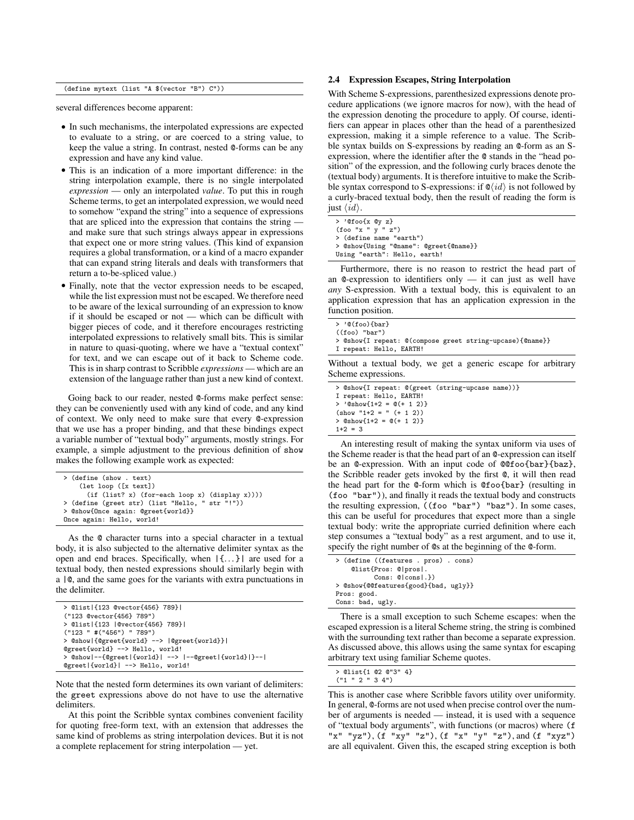(define mytext (list "A \$(vector "B") C"))

several differences become apparent:

- In such mechanisms, the interpolated expressions are expected to evaluate to a string, or are coerced to a string value, to keep the value a string. In contrast, nested @-forms can be any expression and have any kind value.
- This is an indication of a more important difference: in the string interpolation example, there is no single interpolated *expression* — only an interpolated *value*. To put this in rough Scheme terms, to get an interpolated expression, we would need to somehow "expand the string" into a sequence of expressions that are spliced into the expression that contains the string and make sure that such strings always appear in expressions that expect one or more string values. (This kind of expansion requires a global transformation, or a kind of a macro expander that can expand string literals and deals with transformers that return a to-be-spliced value.)
- Finally, note that the vector expression needs to be escaped, while the list expression must not be escaped. We therefore need to be aware of the lexical surrounding of an expression to know if it should be escaped or not — which can be difficult with bigger pieces of code, and it therefore encourages restricting interpolated expressions to relatively small bits. This is similar in nature to quasi-quoting, where we have a "textual context" for text, and we can escape out of it back to Scheme code. This is in sharp contrast to Scribble *expressions* — which are an extension of the language rather than just a new kind of context.

Going back to our reader, nested @-forms make perfect sense: they can be conveniently used with any kind of code, and any kind of context. We only need to make sure that every @-expression that we use has a proper binding, and that these bindings expect a variable number of "textual body" arguments, mostly strings. For example, a simple adjustment to the previous definition of show makes the following example work as expected:

```
> (define (show . text)
    (let loop ([x text])
      (if (list? x) (for-each loop x) (display x))))
  > (define (greet str) (list "Hello, " str "!"))
> @show{Once again: @greet{world}}
Once again: Hello, world!
```
As the @ character turns into a special character in a textual body, it is also subjected to the alternative delimiter syntax as the open and end braces. Specifically, when |{. . . }| are used for a textual body, then nested expressions should similarly begin with a |@, and the same goes for the variants with extra punctuations in the delimiter.

| > @list {123 @vector{456} 789}                       |
|------------------------------------------------------|
| ("123 @vector{456} 789")                             |
| > @list {123  @vector{456} 789}                      |
| ('123 " #('456") "789")                              |
| > @show {@greet{world} -->  @greet{world}}           |
| @greet{world} --> Hello, world!                      |
| > @show --{@greet {world}  -->  --@greet {world} }-- |
| @greet {world}  --> Hello, world!                    |

Note that the nested form determines its own variant of delimiters: the greet expressions above do not have to use the alternative delimiters.

At this point the Scribble syntax combines convenient facility for quoting free-form text, with an extension that addresses the same kind of problems as string interpolation devices. But it is not a complete replacement for string interpolation — yet.

## 2.4 Expression Escapes, String Interpolation

With Scheme S-expressions, parenthesized expressions denote procedure applications (we ignore macros for now), with the head of the expression denoting the procedure to apply. Of course, identifiers can appear in places other than the head of a parenthesized expression, making it a simple reference to a value. The Scribble syntax builds on S-expressions by reading an @-form as an Sexpression, where the identifier after the @ stands in the "head position" of the expression, and the following curly braces denote the (textual body) arguments. It is therefore intuitive to make the Scribble syntax correspond to S-expressions: if  $\mathcal{Q}(id)$  is not followed by a curly-braced textual body, then the result of reading the form is just  $\langle id \rangle$ .

| $>$ '@foo{x @y z}                     |
|---------------------------------------|
| (foo''x''y''z'')                      |
| > (define name "earth")               |
| > @show{Using "@name": @greet{@name}} |
| Using "earth": Hello, earth!          |

Furthermore, there is no reason to restrict the head part of an @-expression to identifiers only — it can just as well have *any* S-expression. With a textual body, this is equivalent to an application expression that has an application expression in the function position.

| > '@(foo){bar}                                           |  |
|----------------------------------------------------------|--|
| $((foo)$ "bar")                                          |  |
| > @show{I repeat: @(compose greet string-upcase){@name}} |  |
| I repeat: Hello, EARTH!                                  |  |
| ithout a toytual hody we get a generic assense for a     |  |

Without a textual body, we get a generic escape for arbitrary Scheme expressions.

| > @show{I repeat: @(greet (string-upcase name))} |
|--------------------------------------------------|
| I repeat: Hello, EARTH!                          |
| > '@show{1+2 = $@(+ 1 2)$ }                      |
| $(\text{show } "1+2 = " (+ 1 2))$                |
| $> Qshow{1+2} = Q(+ 1 2)$                        |
| $1+2 = 3$                                        |

An interesting result of making the syntax uniform via uses of the Scheme reader is that the head part of an @-expression can itself be an @-expression. With an input code of @@foo{bar}{baz}, the Scribble reader gets invoked by the first @, it will then read the head part for the @-form which is @foo{bar} (resulting in (foo "bar")), and finally it reads the textual body and constructs the resulting expression, ((foo "bar") "baz"). In some cases, this can be useful for procedures that expect more than a single textual body: write the appropriate curried definition where each step consumes a "textual body" as a rest argument, and to use it, specify the right number of @s at the beginning of the @-form.

| > (define ((features . pros) . cons) |
|--------------------------------------|
| @list{Pros: @ pros .                 |
| $Cons: Q[cons].$                     |
| > @show{@@features{good}{bad, ugly}} |
| Pros: good.                          |
| Cons: bad, ugly.                     |

There is a small exception to such Scheme escapes: when the escaped expression is a literal Scheme string, the string is combined with the surrounding text rather than become a separate expression. As discussed above, this allows using the same syntax for escaping arbitrary text using familiar Scheme quotes.

|  |  | > @list{1 @2 @"3" 4} |  |
|--|--|----------------------|--|
|  |  | $($ "1 " 2 " 3 4")   |  |

This is another case where Scribble favors utility over uniformity. In general, @-forms are not used when precise control over the number of arguments is needed — instead, it is used with a sequence of "textual body arguments", with functions (or macros) where (f "x" "yz"),  $(f''xy''''z")$ ,  $(f''x''''y''''z")$ , and  $(f''xyz")$ are all equivalent. Given this, the escaped string exception is both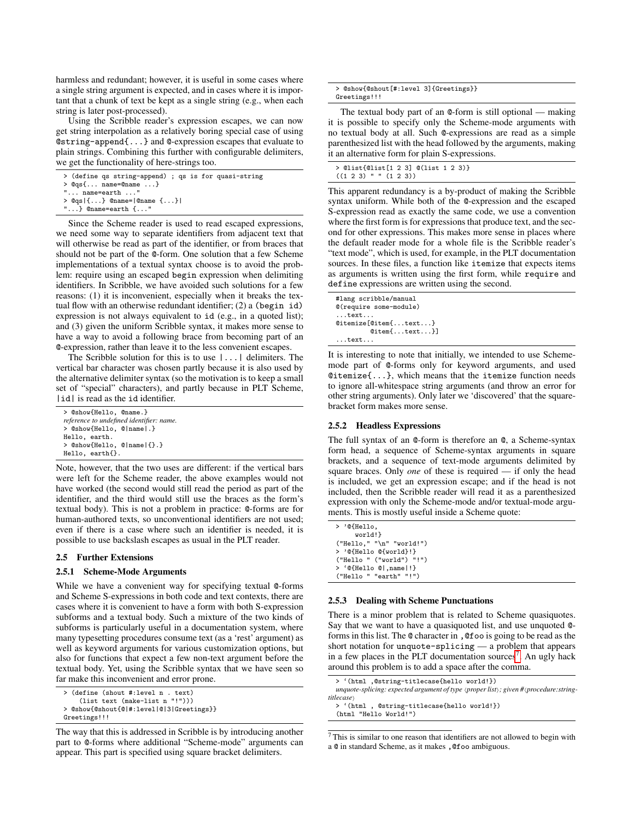harmless and redundant; however, it is useful in some cases where a single string argument is expected, and in cases where it is important that a chunk of text be kept as a single string (e.g., when each string is later post-processed).

Using the Scribble reader's expression escapes, we can now get string interpolation as a relatively boring special case of using @string-append{...} and @-expression escapes that evaluate to plain strings. Combining this further with configurable delimiters, we get the functionality of here-strings too.

| > (define qs string-append) ; qs is for quasi-string |
|------------------------------------------------------|
| $> Qqs$ { name=@name }                               |
| $" \ldots$ name=earth $\ldots"$                      |
| > $Qqs$  {} @name= @name {}                          |
| "} $@name=earth$ {"                                  |

Since the Scheme reader is used to read escaped expressions, we need some way to separate identifiers from adjacent text that will otherwise be read as part of the identifier, or from braces that should not be part of the @-form. One solution that a few Scheme implementations of a textual syntax choose is to avoid the problem: require using an escaped begin expression when delimiting identifiers. In Scribble, we have avoided such solutions for a few reasons: (1) it is inconvenient, especially when it breaks the textual flow with an otherwise redundant identifier; (2) a (begin id) expression is not always equivalent to id (e.g., in a quoted list); and (3) given the uniform Scribble syntax, it makes more sense to have a way to avoid a following brace from becoming part of an @-expression, rather than leave it to the less convenient escapes.

The Scribble solution for this is to use |...| delimiters. The vertical bar character was chosen partly because it is also used by the alternative delimiter syntax (so the motivation is to keep a small set of "special" characters), and partly because in PLT Scheme, |id| is read as the id identifier.

| > @show{Hello, @name.}                   |
|------------------------------------------|
| reference to undefined identifier: name. |
| > @show{Hello, @ name .}                 |
| Hello, earth.                            |
| $>$ @show{Hello, @ name {}.}             |
| Hello, earth{}.                          |
|                                          |

Note, however, that the two uses are different: if the vertical bars were left for the Scheme reader, the above examples would not have worked (the second would still read the period as part of the identifier, and the third would still use the braces as the form's textual body). This is not a problem in practice: @-forms are for human-authored texts, so unconventional identifiers are not used; even if there is a case where such an identifier is needed, it is possible to use backslash escapes as usual in the PLT reader.

#### 2.5 Further Extensions

#### 2.5.1 Scheme-Mode Arguments

While we have a convenient way for specifying textual @-forms and Scheme S-expressions in both code and text contexts, there are cases where it is convenient to have a form with both S-expression subforms and a textual body. Such a mixture of the two kinds of subforms is particularly useful in a documentation system, where many typesetting procedures consume text (as a 'rest' argument) as well as keyword arguments for various customization options, but also for functions that expect a few non-text argument before the textual body. Yet, using the Scribble syntax that we have seen so far make this inconvenient and error prone.

```
> (define (shout #:level n . text)
    (list text (make-list n "!")))
> @show{@shout{@|#:level|@|3|Greetings}}
Greetings!!!
```
The way that this is addressed in Scribble is by introducing another part to @-forms where additional "Scheme-mode" arguments can appear. This part is specified using square bracket delimiters.

| > @show{@shout[#:level 3]{Greetings}} |  |
|---------------------------------------|--|
| Greetings!!!                          |  |

The textual body part of an @-form is still optional — making it is possible to specify only the Scheme-mode arguments with no textual body at all. Such @-expressions are read as a simple parenthesized list with the head followed by the arguments, making it an alternative form for plain S-expressions.

| > @list{@list[1 2 3] @(list 1 2 3)} |  |  |  |
|-------------------------------------|--|--|--|
| $((1 2 3)$ " " $(1 2 3))$           |  |  |  |

This apparent redundancy is a by-product of making the Scribble syntax uniform. While both of the @-expression and the escaped S-expression read as exactly the same code, we use a convention where the first form is for expressions that produce text, and the second for other expressions. This makes more sense in places where the default reader mode for a whole file is the Scribble reader's "text mode", which is used, for example, in the PLT documentation sources. In these files, a function like itemize that expects items as arguments is written using the first form, while require and define expressions are written using the second.

| #lang scribble/manual     |  |  |  |  |
|---------------------------|--|--|--|--|
| $@$ (require some-module) |  |  |  |  |
| $\dots$ text $\dots$      |  |  |  |  |
| $@itemize[@item{text}$    |  |  |  |  |
| $Qitem$ [text}]           |  |  |  |  |
| $\ldots$ text             |  |  |  |  |

It is interesting to note that initially, we intended to use Schememode part of @-forms only for keyword arguments, and used @itemize{...}, which means that the itemize function needs to ignore all-whitespace string arguments (and throw an error for other string arguments). Only later we 'discovered' that the squarebracket form makes more sense.

#### 2.5.2 Headless Expressions

The full syntax of an @-form is therefore an @, a Scheme-syntax form head, a sequence of Scheme-syntax arguments in square brackets, and a sequence of text-mode arguments delimited by square braces. Only *one* of these is required — if only the head is included, we get an expression escape; and if the head is not included, then the Scribble reader will read it as a parenthesized expression with only the Scheme-mode and/or textual-mode arguments. This is mostly useful inside a Scheme quote:

| > '@{Hello,                 |
|-----------------------------|
| world!}                     |
| $("Hello," "\\n" "world!")$ |
| > '@{Hello @{world}!}       |
| ("Hello " ("world") "!!")   |
| > '@{Hello @ ,name !}       |
| ("Hello " "earth" "!")      |

#### 2.5.3 Dealing with Scheme Punctuations

There is a minor problem that is related to Scheme quasiquotes. Say that we want to have a quasiquoted list, and use unquoted @ forms in this list. The @ character in ,@foo is going to be read as the short notation for unquote-splicing — a problem that appears in a few places in the PLT documentation sources<sup>[7](#page-4-0)</sup>. An ugly hack around this problem is to add a space after the comma.

```
> '(html ,@string-titlecase{hello world!})
```
*unquote-splicing: expected argument of type*  $\langle$ *proper list* $\rangle$ ; given # $\langle$ *procedure:stringtitlecase* 

> '(html , @string-titlecase{hello world!}) (html "Hello World!")

<span id="page-4-0"></span><sup>7</sup> This is similar to one reason that identifiers are not allowed to begin with a @ in standard Scheme, as it makes ,@foo ambiguous.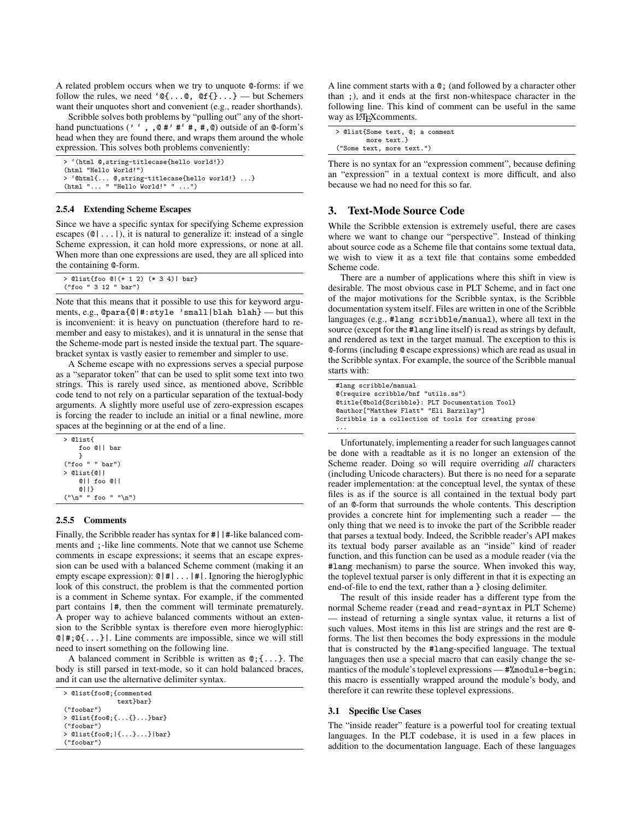A related problem occurs when we try to unquote @-forms: if we follow the rules, we need ' $\mathfrak{e}\{\ldots\mathfrak{e}, \mathfrak{e}\{ \} \ldots\}$  — but Schemers want their unquotes short and convenient (e.g., reader shorthands).

Scribble solves both problems by "pulling out" any of the shorthand punctuations (' ' , ,  $\mathbf{Q}$  #'  $\mathbf{H}'$  +,  $\mathbf{H}$ ,  $\mathbf{Q}$ ) outside of an  $\mathbf{Q}$ -form's head when they are found there, and wraps them around the whole expression. This solves both problems conveniently:

| > '(html @,string-titlecase{hello world!})   |
|----------------------------------------------|
| (html "Hello World!")                        |
| > 'Ohtml{ O,string-titlecase{hello world!} } |
| (htm1 " "Hello World!" " ")                  |

#### 2.5.4 Extending Scheme Escapes

Since we have a specific syntax for specifying Scheme expression escapes  $(0 | ... |)$ , it is natural to generalize it: instead of a single Scheme expression, it can hold more expressions, or none at all. When more than one expressions are used, they are all spliced into the containing @-form.

| $>$ @list{foo @ $( + 1 2)$ $(* 3 4)$   bar} |  |
|---------------------------------------------|--|
| ("foo " 3 12 " bar")                        |  |

Note that this means that it possible to use this for keyword arguments, e.g., @para{@|#:style 'small|blah blah} — but this is inconvenient: it is heavy on punctuation (therefore hard to remember and easy to mistakes), and it is unnatural in the sense that the Scheme-mode part is nested inside the textual part. The squarebracket syntax is vastly easier to remember and simpler to use.

A Scheme escape with no expressions serves a special purpose as a "separator token" that can be used to split some text into two strings. This is rarely used since, as mentioned above, Scribble code tend to not rely on a particular separation of the textual-body arguments. A slightly more useful use of zero-expression escapes is forcing the reader to include an initial or a final newline, more spaces at the beginning or at the end of a line.

| > @list{         |
|------------------|
| foo @ll bar      |
| ι                |
| ("foo " " bar")  |
| > @list{@        |
| CII foo CII      |
| Q                |
| ("n" "foo " "n") |

#### 2.5.5 Comments

Finally, the Scribble reader has syntax for  $\#$  |  $\#$ -like balanced comments and ;-like line comments. Note that we cannot use Scheme comments in escape expressions; it seems that an escape expression can be used with a balanced Scheme comment (making it an empty escape expression): @|#|...|#|. Ignoring the hieroglyphic look of this construct, the problem is that the commented portion is a comment in Scheme syntax. For example, if the commented part contains |#, then the comment will terminate prematurely. A proper way to achieve balanced comments without an extension to the Scribble syntax is therefore even more hieroglyphic:  $Q|$  #;  $Q$ {...} | Line comments are impossible, since we will still need to insert something on the following line.

A balanced comment in Scribble is written as @;{...}. The body is still parsed in text-mode, so it can hold balanced braces, and it can use the alternative delimiter syntax.

```
> @list{foo@;{commented
              text}bar}
("foobar")
> @list{foo@;{...{}...}bar}
("foobar")
> @list{foo@;|{...}...}|bar}
("foobar")
```
A line comment starts with a @; (and followed by a character other than ;), and it ends at the first non-whitespace character in the following line. This kind of comment can be useful in the same way as LATEX comments.

|                           | > @list{Some text, @; a comment |
|---------------------------|---------------------------------|
|                           | more text.}                     |
| ("Some text, more text.") |                                 |

There is no syntax for an "expression comment", because defining an "expression" in a textual context is more difficult, and also because we had no need for this so far.

## 3. Text-Mode Source Code

While the Scribble extension is extremely useful, there are cases where we want to change our "perspective". Instead of thinking about source code as a Scheme file that contains some textual data, we wish to view it as a text file that contains some embedded Scheme code.

There are a number of applications where this shift in view is desirable. The most obvious case in PLT Scheme, and in fact one of the major motivations for the Scribble syntax, is the Scribble documentation system itself. Files are written in one of the Scribble languages (e.g., #lang scribble/manual), where all text in the source (except for the #lang line itself) is read as strings by default, and rendered as text in the target manual. The exception to this is @-forms (including @ escape expressions) which are read as usual in the Scribble syntax. For example, the source of the Scribble manual starts with:

```
#lang scribble/manual
@(require scribble/bnf "utils.ss")
@title{@bold{Scribble}: PLT Documentation Tool}
@author["Matthew Flatt" "Eli Barzilay"]
Scribble is a collection of tools for creating prose
...
```
Unfortunately, implementing a reader for such languages cannot be done with a readtable as it is no longer an extension of the Scheme reader. Doing so will require overriding *all* characters (including Unicode characters). But there is no need for a separate reader implementation: at the conceptual level, the syntax of these files is as if the source is all contained in the textual body part of an @-form that surrounds the whole contents. This description provides a concrete hint for implementing such a reader — the only thing that we need is to invoke the part of the Scribble reader that parses a textual body. Indeed, the Scribble reader's API makes its textual body parser available as an "inside" kind of reader function, and this function can be used as a module reader (via the #lang mechanism) to parse the source. When invoked this way, the toplevel textual parser is only different in that it is expecting an end-of-file to end the text, rather than a } closing delimiter.

The result of this inside reader has a different type from the normal Scheme reader (read and read-syntax in PLT Scheme) — instead of returning a single syntax value, it returns a list of such values. Most items in this list are strings and the rest are @ forms. The list then becomes the body expressions in the module that is constructed by the #lang-specified language. The textual languages then use a special macro that can easily change the semantics of the module's toplevel expressions — #% module-begin; this macro is essentially wrapped around the module's body, and therefore it can rewrite these toplevel expressions.

#### 3.1 Specific Use Cases

The "inside reader" feature is a powerful tool for creating textual languages. In the PLT codebase, it is used in a few places in addition to the documentation language. Each of these languages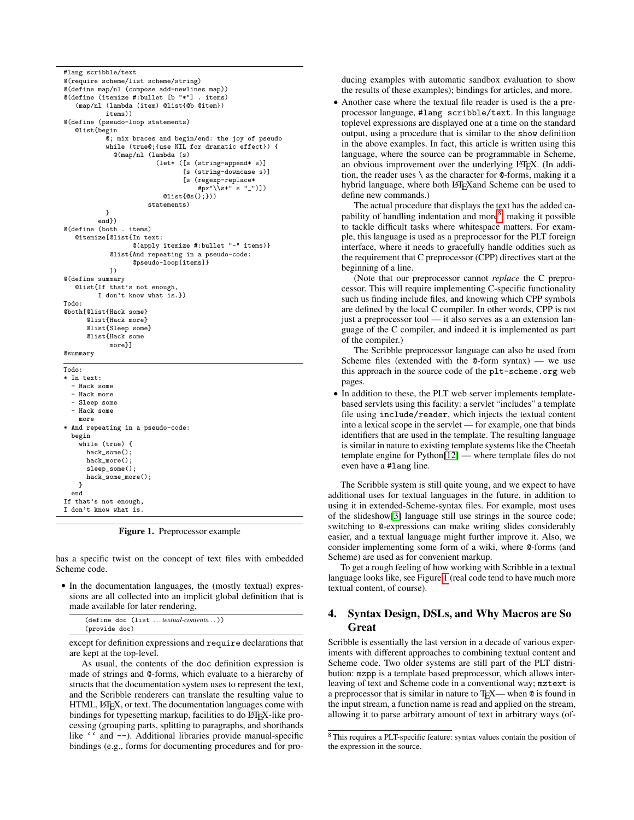```
#lang scribble/text
@(require scheme/list scheme/string)
@(define map/nl (compose add-newlines map))
@(define (itemize #:bullet [b "*"] . items)
   (map/nl (lambda (item) @list{@b @item})
           items))
@(define (pseudo-loop statements)
   @list{begin
           @; mix braces and begin/end: the joy of pseudo
           while (true@;{use NIL for dramatic effect}) {
             @(map/nl (lambda (s)
                        (let* ([s (string-append* s)]
                                [s (string-downcase s)]
                                [s (regexp-replace*
                                    #px"\\s+" s "_")])
                          Qlist({@s();})statements)
           }
         end})
@(define (both . items)
   @itemize[@list{In text:
                  @(apply itemize #:bullet "-" items)}
            @list{And repeating in a pseudo-code:
                  @pseudo-loop[items]}
            ])
@(define summary
   @list{If that's not enough,
         I don't know what is.})
Todo:
@both[@list{Hack some}
      @list{Hack more}
      @list{Sleep some}
      @list{Hack some
            more}]
@summary
Todo:
* In text:
 - Hack some
  - Hack more
  - Sleep some
  - Hack some
   more
* And repeating in a pseudo-code:
 begin
   while (true) {
     hack some();
      hack more();
      sleep_some();
      hack some more():
   }
 end
If that's not enough,
I don't know what is.
```
<span id="page-6-1"></span>Figure 1. Preprocessor example

has a specific twist on the concept of text files with embedded Scheme code.

• In the documentation languages, the (mostly textual) expressions are all collected into an implicit global definition that is made available for later rendering,

|               | (define doc (list textual-contents)) |
|---------------|--------------------------------------|
| (provide doc) |                                      |

except for definition expressions and require declarations that are kept at the top-level.

As usual, the contents of the doc definition expression is made of strings and @-forms, which evaluate to a hierarchy of structs that the documentation system uses to represent the text, and the Scribble renderers can translate the resulting value to HTML, LHFX, or text. The documentation languages come with bindings for typesetting markup, facilities to do L'TEX-like processing (grouping parts, splitting to paragraphs, and shorthands like '' and --). Additional libraries provide manual-specific bindings (e.g., forms for documenting procedures and for producing examples with automatic sandbox evaluation to show the results of these examples); bindings for articles, and more.

• Another case where the textual file reader is used is the a preprocessor language, #lang scribble/text. In this language toplevel expressions are displayed one at a time on the standard output, using a procedure that is similar to the show definition in the above examples. In fact, this article is written using this language, where the source can be programmable in Scheme, an obvious improvement over the underlying LATEX. (In addition, the reader uses  $\setminus$  as the character for  $\mathcal Q$ -forms, making it a hybrid language, where both LAT<sub>E</sub>Xand Scheme can be used to define new commands.)

The actual procedure that displays the text has the added ca-pability of handling indentation and more<sup>[8](#page-6-0)</sup>, making it possible to tackle difficult tasks where whitespace matters. For example, this language is used as a preprocessor for the PLT foreign interface, where it needs to gracefully handle oddities such as the requirement that C preprocessor (CPP) directives start at the beginning of a line.

(Note that our preprocessor cannot *replace* the C preprocessor. This will require implementing C-specific functionality such us finding include files, and knowing which CPP symbols are defined by the local C compiler. In other words, CPP is not just a preprocessor tool — it also serves as a an extension language of the C compiler, and indeed it is implemented as part of the compiler.)

The Scribble preprocessor language can also be used from Scheme files (extended with the  $\mathcal{Q}$ -form syntax) — we use this approach in the source code of the plt-scheme.org web pages.

• In addition to these, the PLT web server implements templatebased servlets using this facility: a servlet "includes" a template file using include/reader, which injects the textual content into a lexical scope in the servlet — for example, one that binds identifiers that are used in the template. The resulting language is similar in nature to existing template systems like the Cheetah template engine for Python[\[12\]](#page-8-3) — where template files do not even have a #lang line.

The Scribble system is still quite young, and we expect to have additional uses for textual languages in the future, in addition to using it in extended-Scheme-syntax files. For example, most uses of the slideshow[\[3\]](#page-8-4) language still use strings in the source code; switching to @-expressions can make writing slides considerably easier, and a textual language might further improve it. Also, we consider implementing some form of a wiki, where @-forms (and Scheme) are used as for convenient markup.

To get a rough feeling of how working with Scribble in a textual language looks like, see Figure [1](#page-6-1) (real code tend to have much more textual content, of course).

## 4. Syntax Design, DSLs, and Why Macros are So **Great**

Scribble is essentially the last version in a decade of various experiments with different approaches to combining textual content and Scheme code. Two older systems are still part of the PLT distribution: mzpp is a template based preprocessor, which allows interleaving of text and Scheme code in a conventional way; mztext is a preprocessor that is similar in nature to T<sub>E</sub>X— when  $\mathcal{Q}$  is found in the input stream, a function name is read and applied on the stream, allowing it to parse arbitrary amount of text in arbitrary ways (of-

<span id="page-6-0"></span><sup>8</sup> This requires a PLT-specific feature: syntax values contain the position of the expression in the source.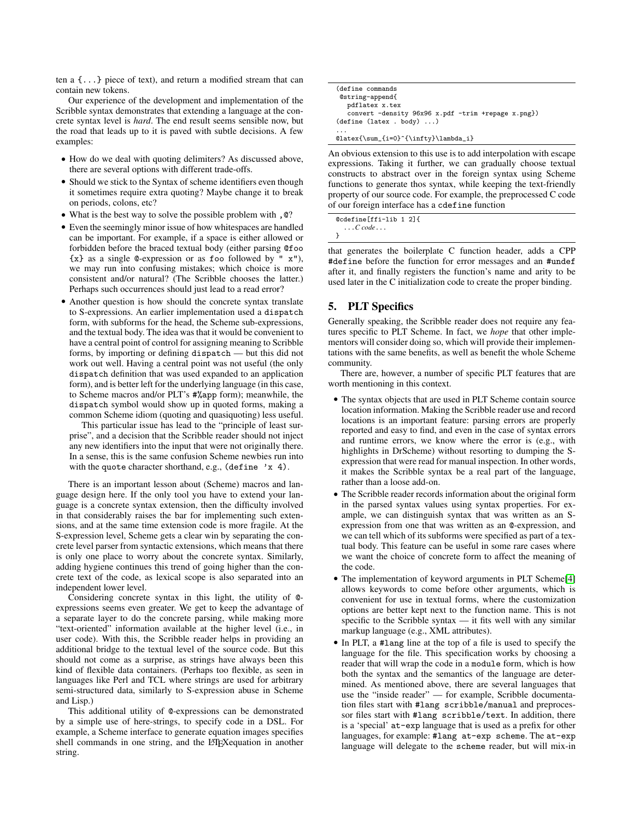ten a {...} piece of text), and return a modified stream that can contain new tokens.

Our experience of the development and implementation of the Scribble syntax demonstrates that extending a language at the concrete syntax level is *hard*. The end result seems sensible now, but the road that leads up to it is paved with subtle decisions. A few examples:

- How do we deal with quoting delimiters? As discussed above, there are several options with different trade-offs.
- Should we stick to the Syntax of scheme identifiers even though it sometimes require extra quoting? Maybe change it to break on periods, colons, etc?
- What is the best way to solve the possible problem with ,@?
- Even the seemingly minor issue of how whitespaces are handled can be important. For example, if a space is either allowed or forbidden before the braced textual body (either parsing @foo  ${x}$  as a single **Q-expression** or as foo followed by " $x$ "), we may run into confusing mistakes; which choice is more consistent and/or natural? (The Scribble chooses the latter.) Perhaps such occurrences should just lead to a read error?
- Another question is how should the concrete syntax translate to S-expressions. An earlier implementation used a dispatch form, with subforms for the head, the Scheme sub-expressions, and the textual body. The idea was that it would be convenient to have a central point of control for assigning meaning to Scribble forms, by importing or defining dispatch — but this did not work out well. Having a central point was not useful (the only dispatch definition that was used expanded to an application form), and is better left for the underlying language (in this case, to Scheme macros and/or PLT's #%app form); meanwhile, the dispatch symbol would show up in quoted forms, making a common Scheme idiom (quoting and quasiquoting) less useful.

This particular issue has lead to the "principle of least surprise", and a decision that the Scribble reader should not inject any new identifiers into the input that were not originally there. In a sense, this is the same confusion Scheme newbies run into with the quote character shorthand, e.g., (define 'x 4).

There is an important lesson about (Scheme) macros and language design here. If the only tool you have to extend your language is a concrete syntax extension, then the difficulty involved in that considerably raises the bar for implementing such extensions, and at the same time extension code is more fragile. At the S-expression level, Scheme gets a clear win by separating the concrete level parser from syntactic extensions, which means that there is only one place to worry about the concrete syntax. Similarly, adding hygiene continues this trend of going higher than the concrete text of the code, as lexical scope is also separated into an independent lower level.

Considering concrete syntax in this light, the utility of @ expressions seems even greater. We get to keep the advantage of a separate layer to do the concrete parsing, while making more "text-oriented" information available at the higher level (i.e., in user code). With this, the Scribble reader helps in providing an additional bridge to the textual level of the source code. But this should not come as a surprise, as strings have always been this kind of flexible data containers. (Perhaps too flexible, as seen in languages like Perl and TCL where strings are used for arbitrary semi-structured data, similarly to S-expression abuse in Scheme and Lisp.)

This additional utility of @-expressions can be demonstrated by a simple use of here-strings, to specify code in a DSL. For example, a Scheme interface to generate equation images specifies shell commands in one string, and the LAT<sub>E</sub>Xequation in another string.

| (define commands                                   |  |
|----------------------------------------------------|--|
| @string-append{                                    |  |
| pdflatex x.tex                                     |  |
| convert -density 96x96 x.pdf -trim +repage x.png}) |  |
| (detine (later . body) )                           |  |
| $\cdots$                                           |  |
| $\text{\sum_{i=0}^{\infty}}\lambda_i$              |  |

An obvious extension to this use is to add interpolation with escape expressions. Taking it further, we can gradually choose textual constructs to abstract over in the foreign syntax using Scheme functions to generate thos syntax, while keeping the text-friendly property of our source code. For example, the preprocessed C code of our foreign interface has a cdefine function

| @cdefine[ffi-lib 1 2]{   |  |
|--------------------------|--|
| $\ldots$ C code $\ldots$ |  |
|                          |  |

that generates the boilerplate C function header, adds a CPP #define before the function for error messages and an #undef after it, and finally registers the function's name and arity to be used later in the C initialization code to create the proper binding.

## 5. PLT Specifics

Generally speaking, the Scribble reader does not require any features specific to PLT Scheme. In fact, we *hope* that other implementors will consider doing so, which will provide their implementations with the same benefits, as well as benefit the whole Scheme community.

There are, however, a number of specific PLT features that are worth mentioning in this context.

- The syntax objects that are used in PLT Scheme contain source location information. Making the Scribble reader use and record locations is an important feature: parsing errors are properly reported and easy to find, and even in the case of syntax errors and runtime errors, we know where the error is (e.g., with highlights in DrScheme) without resorting to dumping the Sexpression that were read for manual inspection. In other words, it makes the Scribble syntax be a real part of the language, rather than a loose add-on.
- The Scribble reader records information about the original form in the parsed syntax values using syntax properties. For example, we can distinguish syntax that was written as an Sexpression from one that was written as an @-expression, and we can tell which of its subforms were specified as part of a textual body. This feature can be useful in some rare cases where we want the choice of concrete form to affect the meaning of the code.
- The implementation of keyword arguments in PLT Scheme<sup>[\[4\]](#page-8-5)</sup> allows keywords to come before other arguments, which is convenient for use in textual forms, where the customization options are better kept next to the function name. This is not specific to the Scribble syntax — it fits well with any similar markup language (e.g., XML attributes).
- In PLT, a #lang line at the top of a file is used to specify the language for the file. This specification works by choosing a reader that will wrap the code in a module form, which is how both the syntax and the semantics of the language are determined. As mentioned above, there are several languages that use the "inside reader" — for example, Scribble documentation files start with #lang scribble/manual and preprocessor files start with #lang scribble/text. In addition, there is a 'special' at-exp language that is used as a prefix for other languages, for example: #lang at-exp scheme. The at-exp language will delegate to the scheme reader, but will mix-in